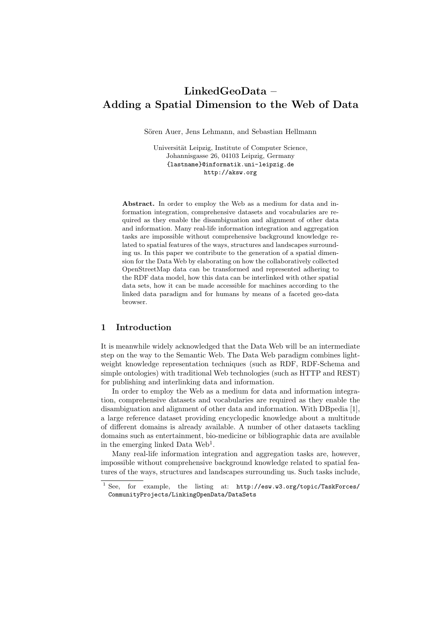# LinkedGeoData – Adding a Spatial Dimension to the Web of Data

Sören Auer, Jens Lehmann, and Sebastian Hellmann

Universität Leipzig, Institute of Computer Science, Johannisgasse 26, 04103 Leipzig, Germany {lastname}@informatik.uni-leipzig.de http://aksw.org

Abstract. In order to employ the Web as a medium for data and information integration, comprehensive datasets and vocabularies are required as they enable the disambiguation and alignment of other data and information. Many real-life information integration and aggregation tasks are impossible without comprehensive background knowledge related to spatial features of the ways, structures and landscapes surrounding us. In this paper we contribute to the generation of a spatial dimension for the Data Web by elaborating on how the collaboratively collected OpenStreetMap data can be transformed and represented adhering to the RDF data model, how this data can be interlinked with other spatial data sets, how it can be made accessible for machines according to the linked data paradigm and for humans by means of a faceted geo-data browser.

# 1 Introduction

It is meanwhile widely acknowledged that the Data Web will be an intermediate step on the way to the Semantic Web. The Data Web paradigm combines lightweight knowledge representation techniques (such as RDF, RDF-Schema and simple ontologies) with traditional Web technologies (such as HTTP and REST) for publishing and interlinking data and information.

In order to employ the Web as a medium for data and information integration, comprehensive datasets and vocabularies are required as they enable the disambiguation and alignment of other data and information. With DBpedia [1], a large reference dataset providing encyclopedic knowledge about a multitude of different domains is already available. A number of other datasets tackling domains such as entertainment, bio-medicine or bibliographic data are available in the emerging linked Data  $Web<sup>1</sup>$ .

Many real-life information integration and aggregation tasks are, however, impossible without comprehensive background knowledge related to spatial features of the ways, structures and landscapes surrounding us. Such tasks include,

<sup>1</sup> See, for example, the listing at: http://esw.w3.org/topic/TaskForces/ CommunityProjects/LinkingOpenData/DataSets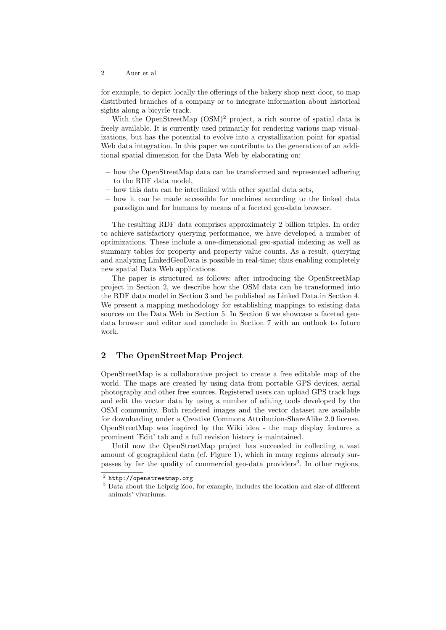for example, to depict locally the offerings of the bakery shop next door, to map distributed branches of a company or to integrate information about historical sights along a bicycle track.

With the OpenStreetMap (OSM)<sup>2</sup> project, a rich source of spatial data is freely available. It is currently used primarily for rendering various map visualizations, but has the potential to evolve into a crystallization point for spatial Web data integration. In this paper we contribute to the generation of an additional spatial dimension for the Data Web by elaborating on:

- how the OpenStreetMap data can be transformed and represented adhering to the RDF data model,
- how this data can be interlinked with other spatial data sets,
- how it can be made accessible for machines according to the linked data paradigm and for humans by means of a faceted geo-data browser.

The resulting RDF data comprises approximately 2 billion triples. In order to achieve satisfactory querying performance, we have developed a number of optimizations. These include a one-dimensional geo-spatial indexing as well as summary tables for property and property value counts. As a result, querying and analyzing LinkedGeoData is possible in real-time; thus enabling completely new spatial Data Web applications.

The paper is structured as follows: after introducing the OpenStreetMap project in Section 2, we describe how the OSM data can be transformed into the RDF data model in Section 3 and be published as Linked Data in Section 4. We present a mapping methodology for establishing mappings to existing data sources on the Data Web in Section 5. In Section 6 we showcase a faceted geodata browser and editor and conclude in Section 7 with an outlook to future work.

# 2 The OpenStreetMap Project

OpenStreetMap is a collaborative project to create a free editable map of the world. The maps are created by using data from portable GPS devices, aerial photography and other free sources. Registered users can upload GPS track logs and edit the vector data by using a number of editing tools developed by the OSM community. Both rendered images and the vector dataset are available for downloading under a Creative Commons Attribution-ShareAlike 2.0 license. OpenStreetMap was inspired by the Wiki idea - the map display features a prominent 'Edit' tab and a full revision history is maintained.

Until now the OpenStreetMap project has succeeded in collecting a vast amount of geographical data (cf. Figure 1), which in many regions already surpasses by far the quality of commercial geo-data providers<sup>3</sup>. In other regions,

 $^{\text{2}}$  http://openstreetmap.org

<sup>3</sup> Data about the Leipzig Zoo, for example, includes the location and size of different animals' vivariums.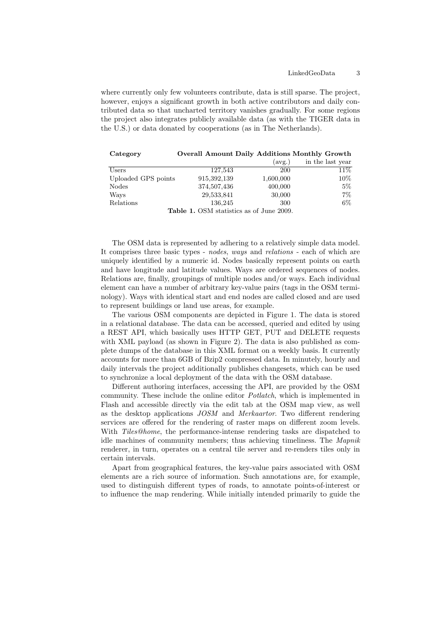where currently only few volunteers contribute, data is still sparse. The project, however, enjoys a significant growth in both active contributors and daily contributed data so that uncharted territory vanishes gradually. For some regions the project also integrates publicly available data (as with the TIGER data in the U.S.) or data donated by cooperations (as in The Netherlands).

| Category                                        | <b>Overall Amount Daily Additions Monthly Growth</b> |            |                  |  |  |
|-------------------------------------------------|------------------------------------------------------|------------|------------------|--|--|
|                                                 |                                                      | (avg.)     | in the last year |  |  |
| Users                                           | 127,543                                              | <b>200</b> | $11\%$           |  |  |
| Uploaded GPS points                             | 915,392,139                                          | 1,600,000  | $10\%$           |  |  |
| <b>Nodes</b>                                    | 374,507,436                                          | 400,000    | $5\%$            |  |  |
| Ways                                            | 29,533,841                                           | 30,000     | $7\%$            |  |  |
| Relations                                       | 136.245                                              | 300        | $6\%$            |  |  |
| <b>Table 1.</b> OSM statistics as of June 2009. |                                                      |            |                  |  |  |

The OSM data is represented by adhering to a relatively simple data model. It comprises three basic types - nodes, ways and relations - each of which are uniquely identified by a numeric id. Nodes basically represent points on earth and have longitude and latitude values. Ways are ordered sequences of nodes. Relations are, finally, groupings of multiple nodes and/or ways. Each individual element can have a number of arbitrary key-value pairs (tags in the OSM terminology). Ways with identical start and end nodes are called closed and are used to represent buildings or land use areas, for example.

The various OSM components are depicted in Figure 1. The data is stored in a relational database. The data can be accessed, queried and edited by using a REST API, which basically uses HTTP GET, PUT and DELETE requests with XML payload (as shown in Figure 2). The data is also published as complete dumps of the database in this XML format on a weekly basis. It currently accounts for more than 6GB of Bzip2 compressed data. In minutely, hourly and daily intervals the project additionally publishes changesets, which can be used to synchronize a local deployment of the data with the OSM database.

Different authoring interfaces, accessing the API, are provided by the OSM community. These include the online editor Potlatch, which is implemented in Flash and accessible directly via the edit tab at the OSM map view, as well as the desktop applications JOSM and Merkaartor. Two different rendering services are offered for the rendering of raster maps on different zoom levels. With Tiles@home, the performance-intense rendering tasks are dispatched to idle machines of community members; thus achieving timeliness. The Mapnik renderer, in turn, operates on a central tile server and re-renders tiles only in certain intervals.

Apart from geographical features, the key-value pairs associated with OSM elements are a rich source of information. Such annotations are, for example, used to distinguish different types of roads, to annotate points-of-interest or to influence the map rendering. While initially intended primarily to guide the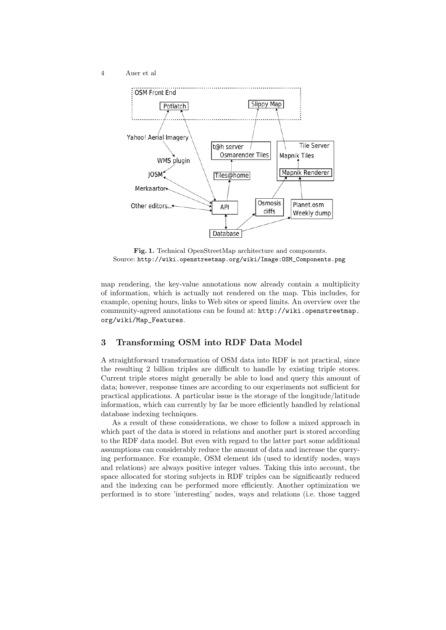



Fig. 1. Technical OpenStreetMap architecture and components. Source: http://wiki.openstreetmap.org/wiki/Image:OSM\_Components.png

map rendering, the key-value annotations now already contain a multiplicity of information, which is actually not rendered on the map. This includes, for example, opening hours, links to Web sites or speed limits. An overview over the community-agreed annotations can be found at: http://wiki.openstreetmap. org/wiki/Map\_Features.

# 3 Transforming OSM into RDF Data Model

A straightforward transformation of OSM data into RDF is not practical, since the resulting 2 billion triples are difficult to handle by existing triple stores. Current triple stores might generally be able to load and query this amount of data; however, response times are according to our experiments not sufficient for practical applications. A particular issue is the storage of the longitude/latitude information, which can currently by far be more efficiently handled by relational database indexing techniques.

As a result of these considerations, we chose to follow a mixed approach in which part of the data is stored in relations and another part is stored according to the RDF data model. But even with regard to the latter part some additional assumptions can considerably reduce the amount of data and increase the querying performance. For example, OSM element ids (used to identify nodes, ways and relations) are always positive integer values. Taking this into account, the space allocated for storing subjects in RDF triples can be significantly reduced and the indexing can be performed more efficiently. Another optimization we performed is to store 'interesting' nodes, ways and relations (i.e. those tagged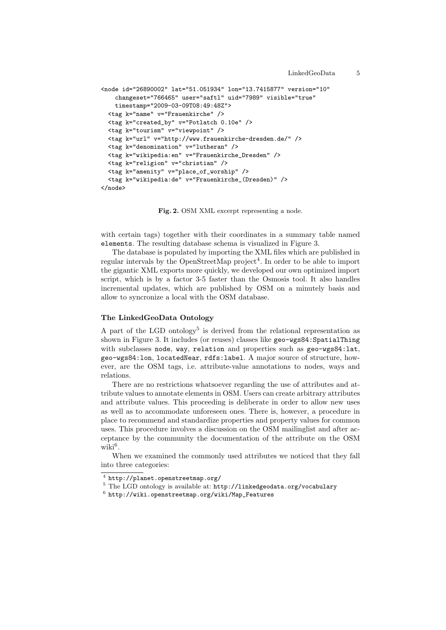```
<node id="26890002" lat="51.051934" lon="13.7415877" version="10"
   changeset="766465" user="saftl" uid="7989" visible="true"
   timestamp="2009-03-09T08:49:48Z">
 <tag k="name" v="Frauenkirche" />
 <tag k="created_by" v="Potlatch 0.10e" />
 <tag k="tourism" v="viewpoint" />
 <tag k="url" v="http://www.frauenkirche-dresden.de/" />
 <tag k="denomination" v="lutheran" />
 <tag k="wikipedia:en" v="Frauenkirche_Dresden" />
 <tag k="religion" v="christian" />
 <tag k="amenity" v="place_of_worship" />
 <tag k="wikipedia:de" v="Frauenkirche_(Dresden)" />
</node>
```
Fig. 2. OSM XML excerpt representing a node.

with certain tags) together with their coordinates in a summary table named elements. The resulting database schema is visualized in Figure 3.

The database is populated by importing the XML files which are published in regular intervals by the OpenStreetMap project<sup>4</sup>. In order to be able to import the gigantic XML exports more quickly, we developed our own optimized import script, which is by a factor 3-5 faster than the Osmosis tool. It also handles incremental updates, which are published by OSM on a minutely basis and allow to syncronize a local with the OSM database.

# The LinkedGeoData Ontology

A part of the LGD ontology<sup>5</sup> is derived from the relational representation as shown in Figure 3. It includes (or reuses) classes like geo-wgs84:SpatialThing with subclasses node, way, relation and properties such as geo-wgs84:lat, geo-wgs84:lon, locatedNear, rdfs:label. A major source of structure, however, are the OSM tags, i.e. attribute-value annotations to nodes, ways and relations.

There are no restrictions whatsoever regarding the use of attributes and attribute values to annotate elements in OSM. Users can create arbitrary attributes and attribute values. This proceeding is deliberate in order to allow new uses as well as to accommodate unforeseen ones. There is, however, a procedure in place to recommend and standardize properties and property values for common uses. This procedure involves a discussion on the OSM mailinglist and after acceptance by the community the documentation of the attribute on the OSM  $\text{wiki}^6$ .

When we examined the commonly used attributes we noticed that they fall into three categories:

 $^4$  http://planet.openstreetmap.org/

<sup>5</sup> The LGD ontology is available at: http://linkedgeodata.org/vocabulary

 $^6$  http://wiki.openstreetmap.org/wiki/Map\_Features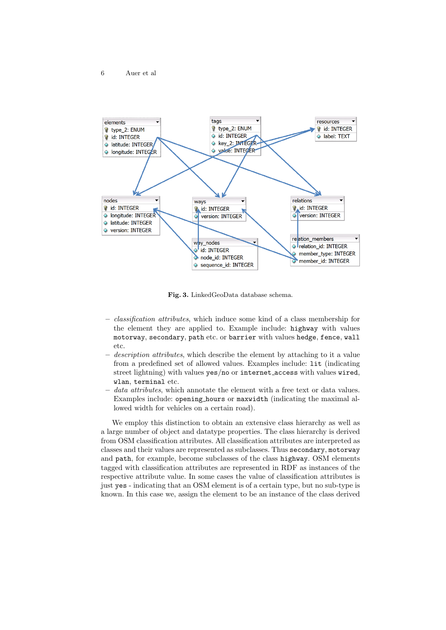

Fig. 3. LinkedGeoData database schema.

- classification attributes, which induce some kind of a class membership for the element they are applied to. Example include: highway with values motorway, secondary, path etc. or barrier with values hedge, fence, wall etc.
- description attributes, which describe the element by attaching to it a value from a predefined set of allowed values. Examples include: lit (indicating street lightning) with values yes/no or internet access with values wired, wlan, terminal etc.
- data attributes, which annotate the element with a free text or data values. Examples include: opening hours or maxwidth (indicating the maximal allowed width for vehicles on a certain road).

We employ this distinction to obtain an extensive class hierarchy as well as a large number of object and datatype properties. The class hierarchy is derived from OSM classification attributes. All classification attributes are interpreted as classes and their values are represented as subclasses. Thus secondary, motorway and path, for example, become subclasses of the class highway. OSM elements tagged with classification attributes are represented in RDF as instances of the respective attribute value. In some cases the value of classification attributes is just yes - indicating that an OSM element is of a certain type, but no sub-type is known. In this case we, assign the element to be an instance of the class derived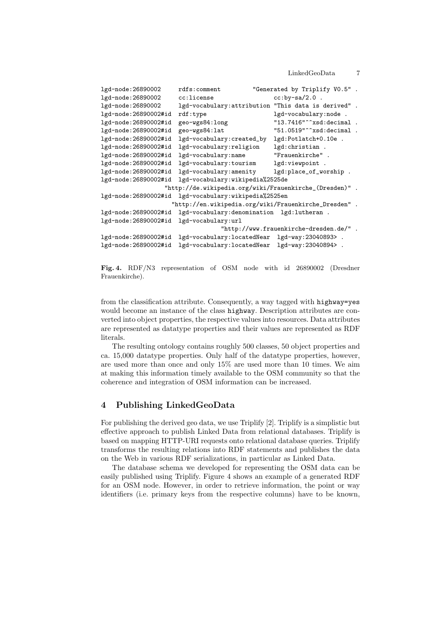```
lgd-node:26890002 rdfs:comment "Generated by Triplify V0.5" .
lgd-node:26890002 cc:license cc:by-sa/2.0 .
lgd-node:26890002 lgd-vocabulary:attribution "This data is derived" .
lgd-node:26890002#id rdf:type lgd-vocabulary:node .
lgd-node:26890002#id geo-wgs84:long "13.7416"^^xsd:decimal .
lgd-node:26890002#id geo-wgs84:lat "51.0519"^^xsd:decimal .
lgd-node:26890002#id lgd-vocabulary:created_by lgd:Potlatch+0.10e .
lgd-node:26890002#id lgd-vocabulary:religion lgd:christian .
lgd-node:26890002#id lgd-vocabulary:name "Frauenkirche" .
lgd-node:26890002#id lgd-vocabulary:tourism lgd:viewpoint .
lgd-node:26890002#id lgd-vocabulary:amenity lgd:place_of_worship .
lgd-node:26890002#id lgd-vocabulary:wikipedia%2525de
                "http://de.wikipedia.org/wiki/Frauenkirche_(Dresden)" .
lgd-node:26890002#id lgd-vocabulary:wikipedia%2525en
                  "http://en.wikipedia.org/wiki/Frauenkirche_Dresden" .
lgd-node:26890002#id lgd-vocabulary:denomination lgd:lutheran .
lgd-node:26890002#id lgd-vocabulary:url
                               "http://www.frauenkirche-dresden.de/" .
lgd-node:26890002#id lgd-vocabulary:locatedNear lgd-way:23040893> .
lgd-node:26890002#id lgd-vocabulary:locatedNear lgd-way:23040894> .
```
Fig. 4. RDF/N3 representation of OSM node with id 26890002 (Dresdner Frauenkirche).

from the classification attribute. Consequently, a way tagged with highway=yes would become an instance of the class highway. Description attributes are converted into object properties, the respective values into resources. Data attributes are represented as datatype properties and their values are represented as RDF literals.

The resulting ontology contains roughly 500 classes, 50 object properties and ca. 15,000 datatype properties. Only half of the datatype properties, however, are used more than once and only 15% are used more than 10 times. We aim at making this information timely available to the OSM community so that the coherence and integration of OSM information can be increased.

## 4 Publishing LinkedGeoData

For publishing the derived geo data, we use Triplify [2]. Triplify is a simplistic but effective approach to publish Linked Data from relational databases. Triplify is based on mapping HTTP-URI requests onto relational database queries. Triplify transforms the resulting relations into RDF statements and publishes the data on the Web in various RDF serializations, in particular as Linked Data.

The database schema we developed for representing the OSM data can be easily published using Triplify. Figure 4 shows an example of a generated RDF for an OSM node. However, in order to retrieve information, the point or way identifiers (i.e. primary keys from the respective columns) have to be known,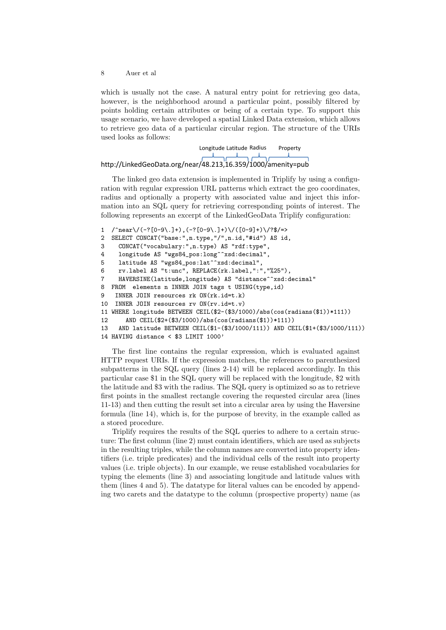which is usually not the case. A natural entry point for retrieving geo data, however, is the neighborhood around a particular point, possibly filtered by points holding certain attributes or being of a certain type. To support this usage scenario, we have developed a spatial Linked Data extension, which allows to retrieve geo data of a particular circular region. The structure of the URIs used looks as follows:

|                                                              | Longitude Latitude Radius | Property |
|--------------------------------------------------------------|---------------------------|----------|
|                                                              |                           |          |
| http://LinkedGeoData.org/near/48.213,16.359/1000/amenity=pub |                           |          |

ration with regular expression OTD patterns with extract the geo coordinates, radius and optionally a property with associated value and inject this inforradius and optionally a property with associated value and inject this information into an SQL query for retrieving corresponding points of interest. The http://dic.org/point/23409191001 referents an excerpt of the LinkedGeoData Triplify configuration: The linked geo data extension is implemented in Triplify by using a configuration with regular expression URL patterns which extract the geo coordinates,

```
3 CONCAT("vocabulary:",n.type) AS "rdf:type",
1 /^near\/(-?[0-9\.]+),(-?[0-9\.]+)\/([0-9]+)\/?$/=>
2 SELECT CONCAT("base:",n.type,"/",n.id,"#id") AS id,
4 longitude AS "wgs84_pos:long^^xsd:decimal",
5 latitude AS "wgs84_pos:lat^^xsd:decimal",
6 rv.label AS "t:unc", REPLACE(rk.label,":","%25"),
7 HAVERSINE(latitude,longitude) AS "distance^^xsd:decimal"
8 FROM elements n INNER JOIN tags t USING(type,id)
9 INNER JOIN resources rk ON(rk.id=t.k)
10 INNER JOIN resources rv ON(rv.id=t.v)
11 WHERE longitude BETWEEN CEIL($2-($3/1000)/abs(cos(radians($1))*111))
12 AND CEIL($2+($3/1000)/abs(cos(radians($1))*111))
13 AND latitude BETWEEN CEIL($1-($3/1000/111)) AND CEIL($1+($3/1000/111))
14 HAVING distance < $3 LIMIT 1000'
```
The first line contains the regular expression, which is evaluated against HTTP request URIs. If the expression matches, the references to parenthesized subpatterns in the SQL query (lines 2-14) will be replaced accordingly. In this particular case \$1 in the SQL query will be replaced with the longitude, \$2 with the latitude and \$3 with the radius. The SQL query is optimized so as to retrieve first points in the smallest rectangle covering the requested circular area (lines 11-13) and then cutting the result set into a circular area by using the Haversine formula (line 14), which is, for the purpose of brevity, in the example called as a stored procedure.

Triplify requires the results of the SQL queries to adhere to a certain structure: The first column (line 2) must contain identifiers, which are used as subjects in the resulting triples, while the column names are converted into property identifiers (i.e. triple predicates) and the individual cells of the result into property values (i.e. triple objects). In our example, we reuse established vocabularies for typing the elements (line 3) and associating longitude and latitude values with them (lines 4 and 5). The datatype for literal values can be encoded by appending two carets and the datatype to the column (prospective property) name (as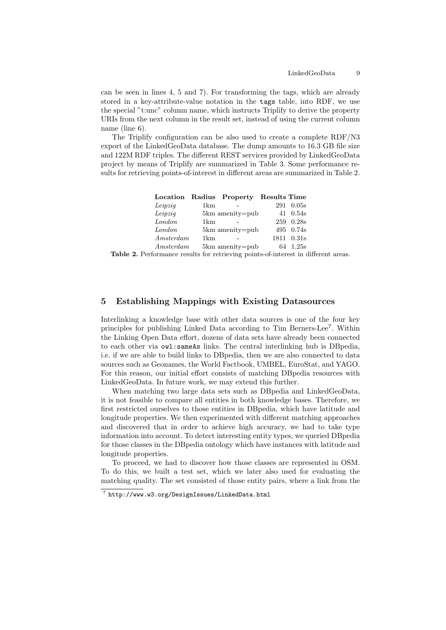can be seen in lines 4, 5 and 7). For transforming the tags, which are already stored in a key-attribute-value notation in the tags table, into RDF, we use the special "t:unc" column name, which instructs Triplify to derive the property URIs from the next column in the result set, instead of using the current column name (line 6).

The Triplify configuration can be also used to create a complete RDF/N3 export of the LinkedGeoData database. The dump amounts to 16.3 GB file size and 122M RDF triples. The different REST services provided by LinkedGeoData project by means of Triplify are summarized in Table 3. Some performance results for retrieving points-of-interest in different areas are summarized in Table 2.

|           |     | Location Radius Property Results Time |      |           |
|-----------|-----|---------------------------------------|------|-----------|
| Leipzig   | 1km |                                       | 291  | 0.05s     |
| Leipzig   |     | $5km$ amenity=pub                     |      | 41 0.54s  |
| London    | 1km |                                       | 259  | 0.28s     |
| London    |     | $5km$ amenity=pub                     |      | 495 0.74s |
| Amsterdam | 1km |                                       | 1811 | 0.31s     |
| Amsterdam |     | $5km$ amenity=pub                     | 64   | 1.25s     |

Table 2. Performance results for retrieving points-of-interest in different areas.

# 5 Establishing Mappings with Existing Datasources

Interlinking a knowledge base with other data sources is one of the four key principles for publishing Linked Data according to Tim Berners-Lee<sup>7</sup>. Within the Linking Open Data effort, dozens of data sets have already been connected to each other via owl:sameAs links. The central interlinking hub is DBpedia, i.e. if we are able to build links to DBpedia, then we are also connected to data sources such as Geonames, the World Factbook, UMBEL, EuroStat, and YAGO. For this reason, our initial effort consists of matching DBpedia resources with LinkedGeoData. In future work, we may extend this further.

When matching two large data sets such as DBpedia and LinkedGeoData, it is not feasible to compare all entities in both knowledge bases. Therefore, we first restricted ourselves to those entities in DBpedia, which have latitude and longitude properties. We then experimented with different matching approaches and discovered that in order to achieve high accuracy, we had to take type information into account. To detect interesting entity types, we queried DBpedia for those classes in the DBpedia ontology which have instances with latitude and longitude properties.

To proceed, we had to discover how those classes are represented in OSM. To do this, we built a test set, which we later also used for evaluating the matching quality. The set consisted of those entity pairs, where a link from the

<sup>7</sup> http://www.w3.org/DesignIssues/LinkedData.html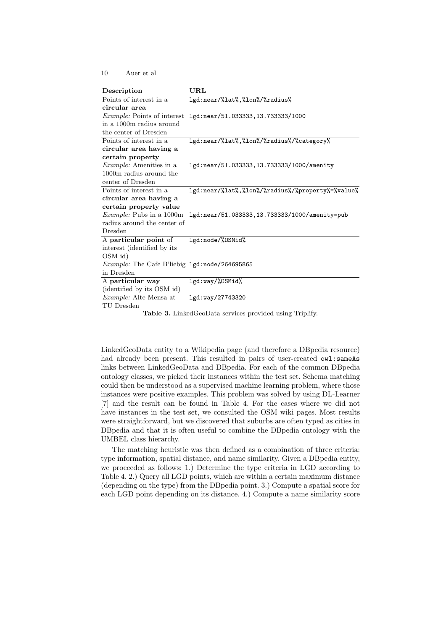| Description                                          | $_{\rm URL}$                                     |
|------------------------------------------------------|--------------------------------------------------|
| Points of interest in a                              | lgd:near/%lat%,%lon%/%radius%                    |
| circular area                                        |                                                  |
| <i>Example:</i> Points of interest                   | lgd:near/51.033333,13.733333/1000                |
| in a 1000m radius around                             |                                                  |
| the center of Dresden                                |                                                  |
| Points of interest in a                              | lgd:near/%lat%,%lon%/%radius%/%category%         |
| circular area having a                               |                                                  |
| certain property                                     |                                                  |
| <i>Example:</i> Amenities in a                       | lgd:near/51.033333,13.733333/1000/amenity        |
| 1000m radius around the                              |                                                  |
| center of Dresden                                    |                                                  |
| Points of interest in a                              | lgd:near/%lat%,%lon%/%radius%/%property%=%value% |
| circular area having a                               |                                                  |
| certain property value                               |                                                  |
| <i>Example:</i> Pubs in a 1000m                      | lgd:near/51.033333,13.733333/1000/amenity=pub    |
| radius around the center of                          |                                                  |
| Dresden                                              |                                                  |
| A particular point of                                | lgd:node/%0SMid%                                 |
| interest (identified by its                          |                                                  |
| OSM id)                                              |                                                  |
| <i>Example:</i> The Cafe B'liebig 1gd:node/264695865 |                                                  |
| in Dresden                                           |                                                  |
| A particular way                                     | lgd:way/%0SMid%                                  |
| (identified by its OSM id)                           |                                                  |
| <i>Example:</i> Alte Mensa at                        | lgd:way/27743320                                 |
| TU Dresden                                           |                                                  |
|                                                      | $\mathbf{m}$ ii $\alpha$ ii $\alpha$ in $\alpha$ |

Table 3. LinkedGeoData services provided using Triplify.

LinkedGeoData entity to a Wikipedia page (and therefore a DBpedia resource) had already been present. This resulted in pairs of user-created owl:sameAs links between LinkedGeoData and DBpedia. For each of the common DBpedia ontology classes, we picked their instances within the test set. Schema matching could then be understood as a supervised machine learning problem, where those instances were positive examples. This problem was solved by using DL-Learner [7] and the result can be found in Table 4. For the cases where we did not have instances in the test set, we consulted the OSM wiki pages. Most results were straightforward, but we discovered that suburbs are often typed as cities in DBpedia and that it is often useful to combine the DBpedia ontology with the UMBEL class hierarchy.

The matching heuristic was then defined as a combination of three criteria: type information, spatial distance, and name similarity. Given a DBpedia entity, we proceeded as follows: 1.) Determine the type criteria in LGD according to Table 4. 2.) Query all LGD points, which are within a certain maximum distance (depending on the type) from the DBpedia point. 3.) Compute a spatial score for each LGD point depending on its distance. 4.) Compute a name similarity score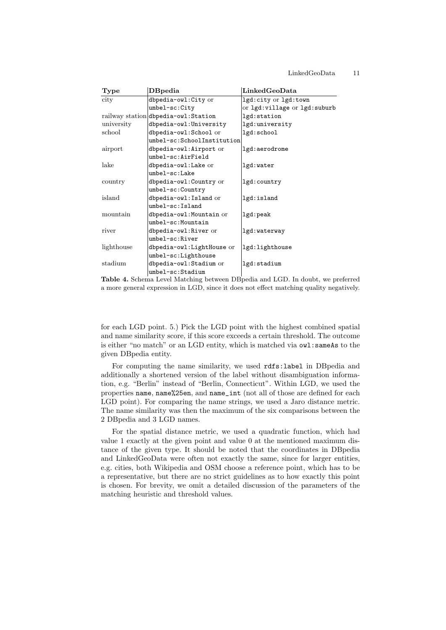| Type       | <b>DB</b> pedia                      | LinkedGeoData                  |
|------------|--------------------------------------|--------------------------------|
| city       | dbpedia-owl: City or                 | lgd:city or lgd:town           |
|            | umbel-sc:City                        | or lgd: village or lgd: suburb |
|            | railway station dbpedia-owl: Station | lgd:station                    |
| university | dbpedia-owl:University               | lgd:university                 |
| school     | dbpedia-owl:School or                | lgd:school                     |
|            | umbel-sc:SchoolInstitution           |                                |
| airport    | dbpedia-owl:Airport or               | lgd:aerodrome                  |
|            | umbel-sc:AirField                    |                                |
| lake       | dbpedia-owl:Lake or                  | lgd:water                      |
|            | umbel-sc:Lake                        |                                |
| country    | dbpedia-owl: Country or              | lgd:country                    |
|            | umbel-sc:Country                     |                                |
| island     | dbpedia-owl: Island or               | lgd:island                     |
|            | umbel-sc: Island                     |                                |
| mountain   | dbpedia-owl: Mountain or             | lgd:peak                       |
|            | umbel-sc:Mountain                    |                                |
| river      | dbpedia-owl:River or                 | lgd: waterway                  |
|            | umbel-sc:River                       |                                |
| lighthouse | dbpedia-owl:LightHouse or            | lgd:lighthouse                 |
|            | umbel-sc:Lighthouse                  |                                |
| stadium    | dbpedia-owl:Stadium or               | lgd:stadium                    |
|            | umbel-sc:Stadium                     |                                |

Table 4. Schema Level Matching between DBpedia and LGD. In doubt, we preferred a more general expression in LGD, since it does not effect matching quality negatively.

for each LGD point. 5.) Pick the LGD point with the highest combined spatial and name similarity score, if this score exceeds a certain threshold. The outcome is either "no match" or an LGD entity, which is matched via owl:sameAs to the given DBpedia entity.

For computing the name similarity, we used rdfs:label in DBpedia and additionally a shortened version of the label without disambiguation information, e.g. "Berlin" instead of "Berlin, Connecticut". Within LGD, we used the properties name, name%25en, and name\_int (not all of those are defined for each LGD point). For comparing the name strings, we used a Jaro distance metric. The name similarity was then the maximum of the six comparisons between the 2 DBpedia and 3 LGD names.

For the spatial distance metric, we used a quadratic function, which had value 1 exactly at the given point and value 0 at the mentioned maximum distance of the given type. It should be noted that the coordinates in DBpedia and LinkedGeoData were often not exactly the same, since for larger entities, e.g. cities, both Wikipedia and OSM choose a reference point, which has to be a representative, but there are no strict guidelines as to how exactly this point is chosen. For brevity, we omit a detailed discussion of the parameters of the matching heuristic and threshold values.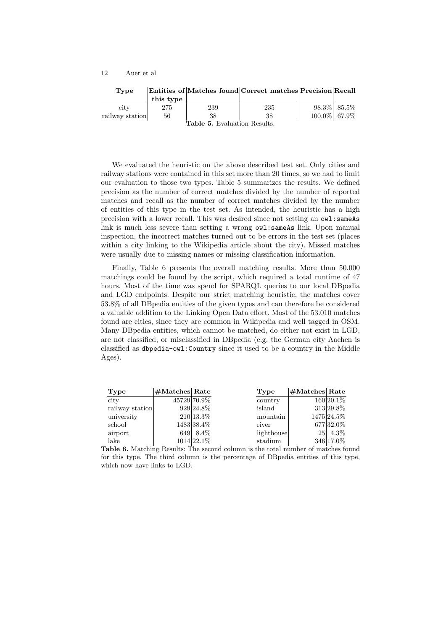| Type                                |           |     | Entities of Matches found Correct matches Precision Recall |              |             |
|-------------------------------------|-----------|-----|------------------------------------------------------------|--------------|-------------|
|                                     | this type |     |                                                            |              |             |
| city                                | 275       | 239 | 235                                                        |              | 98.3% 85.5% |
| railway station                     | 56        | 38  | 38                                                         | 100.0% 67.9% |             |
| <b>Table 5.</b> Evaluation Results. |           |     |                                                            |              |             |

We evaluated the heuristic on the above described test set. Only cities and railway stations were contained in this set more than 20 times, so we had to limit our evaluation to those two types. Table 5 summarizes the results. We defined precision as the number of correct matches divided by the number of reported matches and recall as the number of correct matches divided by the number of entities of this type in the test set. As intended, the heuristic has a high precision with a lower recall. This was desired since not setting an owl:sameAs link is much less severe than setting a wrong owl: sameAs link. Upon manual inspection, the incorrect matches turned out to be errors in the test set (places within a city linking to the Wikipedia article about the city). Missed matches were usually due to missing names or missing classification information.

Finally, Table 6 presents the overall matching results. More than 50.000 matchings could be found by the script, which required a total runtime of 47 hours. Most of the time was spend for SPARQL queries to our local DBpedia and LGD endpoints. Despite our strict matching heuristic, the matches cover 53.8% of all DBpedia entities of the given types and can therefore be considered a valuable addition to the Linking Open Data effort. Most of the 53.010 matches found are cities, since they are common in Wikipedia and well tagged in OSM. Many DBpedia entities, which cannot be matched, do either not exist in LGD, are not classified, or misclassified in DBpedia (e.g. the German city Aachen is classified as dbpedia-owl:Country since it used to be a country in the Middle Ages).

| Type            | $# \text{Matches}$ Rate |             | Type       | $\# \text{Matches}$ Rate |            |
|-----------------|-------------------------|-------------|------------|--------------------------|------------|
| city            |                         | 45729 70.9% | country    |                          | 160 20.1%  |
| railway station |                         | 929 24.8%   | island     |                          | 313 29.8%  |
| university      |                         | 210 13.3%   | mountain   |                          | 1475 24.5% |
| school          |                         | 1483 38.4%  | river      |                          | 677 32.0%  |
| airport         |                         | 649 8.4%    | lighthouse |                          | 25 4.3%    |
| lake            |                         | 1014 22.1%  | stadium    |                          | 346 17.0%  |

Table 6. Matching Results: The second column is the total number of matches found for this type. The third column is the percentage of DBpedia entities of this type, which now have links to LGD.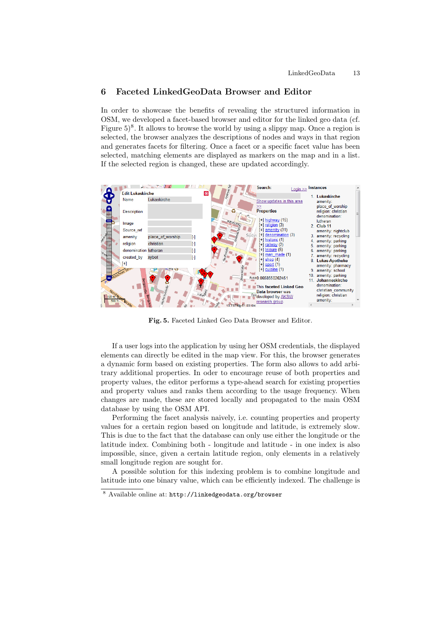## 6 Faceted LinkedGeoData Browser and Editor

In order to showcase the benefits of revealing the structured information in OSM, we developed a facet-based browser and editor for the linked geo data (cf. Figure  $5)^8$ . It allows to browse the world by using a slippy map. Once a region is selected, the browser analyzes the descriptions of nodes and ways in that region and generates facets for filtering. Once a facet or a specific facet value has been selected, matching elements are displayed as markers on the map and in a list. If the selected region is changed, these are updated accordingly.



Fig. 5. Faceted Linked Geo Data Browser and Editor.

If a user logs into the application by using her OSM credentials, the displayed elements can directly be edited in the map view. For this, the browser generates a dynamic form based on existing properties. The form also allows to add arbitrary additional properties. In oder to encourage reuse of both properties and property values, the editor performs a type-ahead search for existing properties and property values and ranks them according to the usage frequency. When changes are made, these are stored locally and propagated to the main OSM database by using the OSM API.

Performing the facet analysis naively, i.e. counting properties and property values for a certain region based on longitude and latitude, is extremely slow. This is due to the fact that the database can only use either the longitude or the latitude index. Combining both - longitude and latitude - in one index is also impossible, since, given a certain latitude region, only elements in a relatively small longitude region are sought for.

A possible solution for this indexing problem is to combine longitude and latitude into one binary value, which can be efficiently indexed. The challenge is

<sup>8</sup> Available online at: http://linkedgeodata.org/browser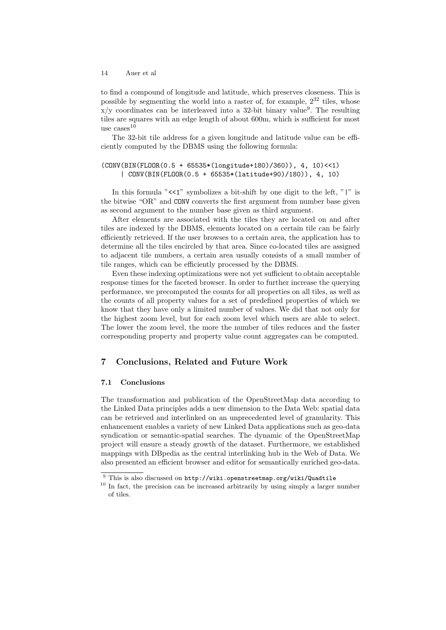to find a compound of longitude and latitude, which preserves closeness. This is possible by segmenting the world into a raster of, for example,  $2^{32}$  tiles, whose  $x/y$  coordinates can be interleaved into a 32-bit binary value<sup>9</sup>. The resulting tiles are squares with an edge length of about 600m, which is sufficient for most use  $\csc^{10}$ 

The 32-bit tile address for a given longitude and latitude value can be efficiently computed by the DBMS using the following formula:

## (CONV(BIN(FLOOR(0.5 + 65535\*(longitude+180)/360)), 4, 10)<<1) | CONV(BIN(FLOOR(0.5 + 65535\*(latitude+90)/180)), 4, 10)

In this formula " $<<1$ " symbolizes a bit-shift by one digit to the left, "|" is the bitwise "OR" and CONV converts the first argument from number base given as second argument to the number base given as third argument.

After elements are associated with the tiles they are located on and after tiles are indexed by the DBMS, elements located on a certain tile can be fairly efficiently retrieved. If the user browses to a certain area, the application has to determine all the tiles encircled by that area. Since co-located tiles are assigned to adjacent tile numbers, a certain area usually consists of a small number of tile ranges, which can be efficiently processed by the DBMS.

Even these indexing optimizations were not yet sufficient to obtain acceptable response times for the faceted browser. In order to further increase the querying performance, we precomputed the counts for all properties on all tiles, as well as the counts of all property values for a set of predefined properties of which we know that they have only a limited number of values. We did that not only for the highest zoom level, but for each zoom level which users are able to select. The lower the zoom level, the more the number of tiles reduces and the faster corresponding property and property value count aggregates can be computed.

# 7 Conclusions, Related and Future Work

#### 7.1 Conclusions

The transformation and publication of the OpenStreetMap data according to the Linked Data principles adds a new dimension to the Data Web: spatial data can be retrieved and interlinked on an unprecedented level of granularity. This enhancement enables a variety of new Linked Data applications such as geo-data syndication or semantic-spatial searches. The dynamic of the OpenStreetMap project will ensure a steady growth of the dataset. Furthermore, we established mappings with DBpedia as the central interlinking hub in the Web of Data. We also presented an efficient browser and editor for semantically enriched geo-data.

 $9$  This is also discussed on http://wiki.openstreetmap.org/wiki/Quadtile

<sup>&</sup>lt;sup>10</sup> In fact, the precision can be increased arbitrarily by using simply a larger number of tiles.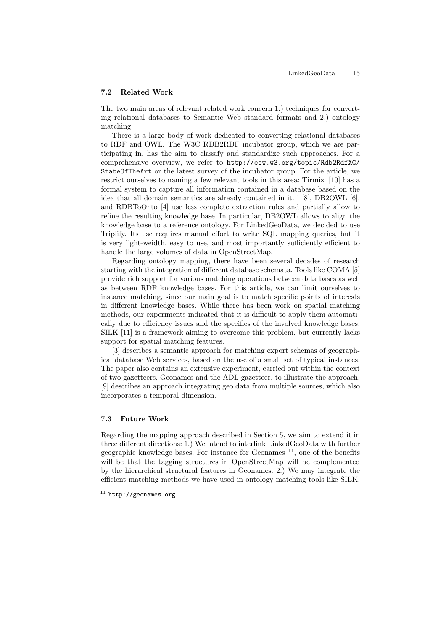#### 7.2 Related Work

The two main areas of relevant related work concern 1.) techniques for converting relational databases to Semantic Web standard formats and 2.) ontology matching.

There is a large body of work dedicated to converting relational databases to RDF and OWL. The W3C RDB2RDF incubator group, which we are participating in, has the aim to classify and standardize such approaches. For a comprehensive overview, we refer to http://esw.w3.org/topic/Rdb2RdfXG/ StateOfTheArt or the latest survey of the incubator group. For the article, we restrict ourselves to naming a few relevant tools in this area: Tirmizi [10] has a formal system to capture all information contained in a database based on the idea that all domain semantics are already contained in it. i [8], DB2OWL [6], and RDBToOnto [4] use less complete extraction rules and partially allow to refine the resulting knowledge base. In particular, DB2OWL allows to align the knowledge base to a reference ontology. For LinkedGeoData, we decided to use Triplify. Its use requires manual effort to write SQL mapping queries, but it is very light-weidth, easy to use, and most importantly sufficiently efficient to handle the large volumes of data in OpenStreetMap.

Regarding ontology mapping, there have been several decades of research starting with the integration of different database schemata. Tools like COMA [5] provide rich support for various matching operations between data bases as well as between RDF knowledge bases. For this article, we can limit ourselves to instance matching, since our main goal is to match specific points of interests in different knowledge bases. While there has been work on spatial matching methods, our experiments indicated that it is difficult to apply them automatically due to efficiency issues and the specifics of the involved knowledge bases. SILK [11] is a framework aiming to overcome this problem, but currently lacks support for spatial matching features.

[3] describes a semantic approach for matching export schemas of geographical database Web services, based on the use of a small set of typical instances. The paper also contains an extensive experiment, carried out within the context of two gazetteers, Geonames and the ADL gazetteer, to illustrate the approach. [9] describes an approach integrating geo data from multiple sources, which also incorporates a temporal dimension.

### 7.3 Future Work

Regarding the mapping approach described in Section 5, we aim to extend it in three different directions: 1.) We intend to interlink LinkedGeoData with further geographic knowledge bases. For instance for Geonames  $^{11}$ , one of the benefits will be that the tagging structures in OpenStreetMap will be complemented by the hierarchical structural features in Geonames. 2.) We may integrate the efficient matching methods we have used in ontology matching tools like SILK.

 $^{\rm 11}$ http://geonames.org